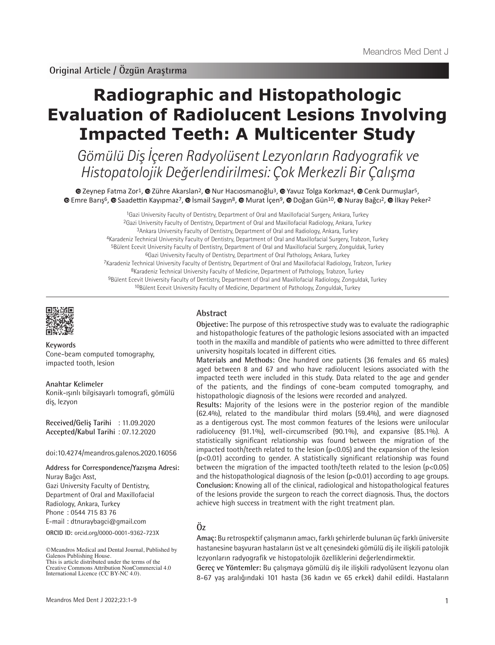# **Radiographic and Histopathologic Evaluation of Radiolucent Lesions Involving Impacted Teeth: A Multicenter Study**

Gömülü Diş İçeren Radyolüsent Lezyonların Radyografik ve Histopatolojik Değerlendirilmesi: Çok Merkezli Bir Çalışma

 $\bullet$ Zeynep Fatma Zor<sup>1</sup>,  $\bullet$  Zühre Akarslan<sup>2</sup>,  $\bullet$  Nur Hacıosmanoğlu<sup>3</sup>,  $\bullet$  Yavuz Tolga Korkmaz<sup>4</sup>,  $\bullet$  Cenk Durmuslar<sup>5</sup>,  $\bullet$ Emre Barış<sup>6</sup>,  $\bullet$  Saadettin Kayıpmaz<sup>7</sup>,  $\bullet$  İsmail Saygın<sup>8</sup>,  $\bullet$  Murat İçen<sup>9</sup>,  $\bullet$  Doğan Gün<sup>10</sup>,  $\bullet$  Nuray Bağçı<sup>2</sup>,  $\bullet$  İlkay Peker<sup>2</sup>

> <sup>1</sup>Gazi University Faculty of Dentistry, Department of Oral and Maxillofacial Surgery, Ankara, Turkey 2Gazi University Faculty of Dentistry, Department of Oral and Maxillofacial Radiology, Ankara, Turkey 3Ankara University Faculty of Dentistry, Department of Oral and Radiology, Ankara, Turkey 4Karadeniz Technical University Faculty of Dentistry, Department of Oral and Maxillofacial Surgery, Trabzon, Turkey 5Bülent Ecevit University Faculty of Dentistry, Department of Oral and Maxillofacial Surgery, Zonguldak, Turkey 6Gazi University Faculty of Dentistry, Department of Oral Pathology, Ankara, Turkey 7Karadeniz Technical University Faculty of Dentistry, Department of Oral and Maxillofacial Radiology, Trabzon, Turkey 8Karadeniz Technical University Faculty of Medicine, Department of Pathology, Trabzon, Turkey 9Bülent Ecevit University Faculty of Dentistry, Department of Oral and Maxillofacial Radiology, Zonguldak, Turkey 10Bülent Ecevit University Faculty of Medicine, Department of Pathology, Zonguldak, Turkey



**Keywords** Cone-beam computed tomography, impacted tooth, lesion

**Anahtar Kelimeler** Konik-ışınlı bilgisayarlı tomografi, gömülü diş, lezyon

**Received/Geliş Tarihi** : 11.09.2020 **Accepted/Kabul Tarihi** : 07.12.2020

doi:10.4274/meandros.galenos.2020.16056

**ORCID ID:** orcid.org/0000-0001-9362-723X **Address for Correspondence/Yazışma Adresi:** Nuray Bağcı Asst, Gazi University Faculty of Dentistry, Department of Oral and Maxillofacial Radiology, Ankara, Turkey Phone : 0544 715 83 76 E-mail : dtnuraybagci@gmail.com

©Meandros Medical and Dental Journal, Published by Galenos Publishing House. This is article distributed under the terms of the Creative Commons Attribution NonCommercial 4.0 International Licence (CC BY-NC 4.0).

## **Abstract**

**Objective:** The purpose of this retrospective study was to evaluate the radiographic and histopathologic features of the pathologic lesions associated with an impacted tooth in the maxilla and mandible of patients who were admitted to three different university hospitals located in different cities.

**Materials and Methods:** One hundred one patients (36 females and 65 males) aged between 8 and 67 and who have radiolucent lesions associated with the impacted teeth were included in this study. Data related to the age and gender of the patients, and the findings of cone-beam computed tomography, and histopathologic diagnosis of the lesions were recorded and analyzed.

**Results:** Majority of the lesions were in the posterior region of the mandible (62.4%), related to the mandibular third molars (59.4%), and were diagnosed as a dentigerous cyst. The most common features of the lesions were unilocular radiolucency (91.1%), well-circumscribed (90.1%), and expansive (85.1%). A statistically significant relationship was found between the migration of the impacted tooth/teeth related to the lesion (p<0.05) and the expansion of the lesion (p<0.01) according to gender. A statistically significant relationship was found between the migration of the impacted tooth/teeth related to the lesion (p<0.05) and the histopathological diagnosis of the lesion  $(p<0.01)$  according to age groups. **Conclusion:** Knowing all of the clinical, radiological and histopathological features of the lesions provide the surgeon to reach the correct diagnosis. Thus, the doctors achieve high success in treatment with the right treatment plan.

## **Öz**

**Amaç:** Bu retrospektif çalışmanın amacı, farklı şehirlerde bulunan üç farklı üniversite hastanesine başvuran hastaların üst ve alt çenesindeki gömülü diş ile ilişkili patolojik lezyonların radyografik ve histopatolojik özelliklerini değerlendirmektir.

**Gereç ve Yöntemler:** Bu çalışmaya gömülü diş ile ilişkili radyolüsent lezyonu olan 8-67 yaş aralığındaki 101 hasta (36 kadın ve 65 erkek) dahil edildi. Hastaların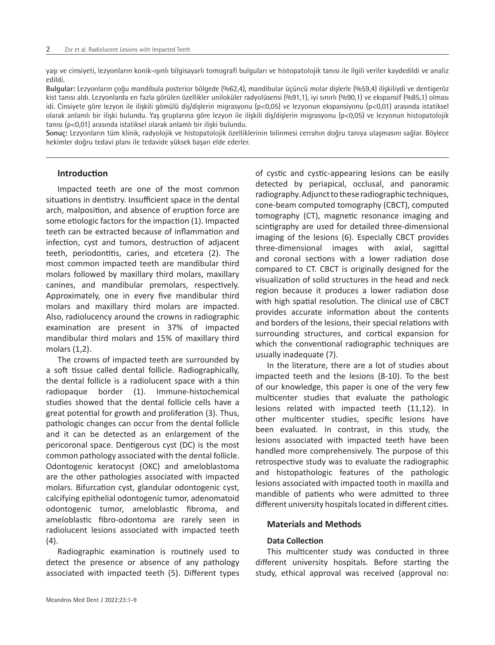yaşı ve cinsiyeti, lezyonların konik-ışınlı bilgisayarlı tomografi bulguları ve histopatolojik tanısı ile ilgili veriler kaydedildi ve analiz edildi.

**Bulgular:** Lezyonların çoğu mandibula posterior bölgede (%62,4), mandibular üçüncü molar dişlerle (%59,4) ilişkiliydi ve dentigeröz kist tanısı aldı. Lezyonlarda en fazla görülen özellikler uniloküler radyolüsensi (%91,1), iyi sınırlı (%90,1) ve ekspansif (%85,1) olması idi. Cinsiyete göre lezyon ile ilişkili gömülü diş/dişlerin migrasyonu (p<0,05) ve lezyonun ekspansiyonu (p<0,01) arasında istatiksel olarak anlamlı bir ilişki bulundu. Yaş gruplarına göre lezyon ile ilişkili diş/dişlerin migrasyonu (p<0,05) ve lezyonun histopatolojik tanısı (p<0,01) arasında istatiksel olarak anlamlı bir ilişki bulundu.

**Sonuç:** Lezyonların tüm klinik, radyolojik ve histopatolojik özelliklerinin bilinmesi cerrahın doğru tanıya ulaşmasını sağlar. Böylece hekimler doğru tedavi planı ile tedavide yüksek başarı elde ederler.

## **Introduction**

Impacted teeth are one of the most common situations in dentistry. Insufficient space in the dental arch, malposition, and absence of eruption force are some etiologic factors for the impaction (1). Impacted teeth can be extracted because of inflammation and infection, cyst and tumors, destruction of adjacent teeth, periodontitis, caries, and etcetera (2). The most common impacted teeth are mandibular third molars followed by maxillary third molars, maxillary canines, and mandibular premolars, respectively. Approximately, one in every five mandibular third molars and maxillary third molars are impacted. Also, radiolucency around the crowns in radiographic examination are present in 37% of impacted mandibular third molars and 15% of maxillary third molars (1,2).

The crowns of impacted teeth are surrounded by a soft tissue called dental follicle. Radiographically, the dental follicle is a radiolucent space with a thin radiopaque border (1). Immune-histochemical studies showed that the dental follicle cells have a great potential for growth and proliferation (3). Thus, pathologic changes can occur from the dental follicle and it can be detected as an enlargement of the pericoronal space. Dentigerous cyst (DC) is the most common pathology associated with the dental follicle. Odontogenic keratocyst (OKC) and ameloblastoma are the other pathologies associated with impacted molars. Bifurcation cyst, glandular odontogenic cyst, calcifying epithelial odontogenic tumor, adenomatoid odontogenic tumor, ameloblastic fibroma, and ameloblastic fibro-odontoma are rarely seen in radiolucent lesions associated with impacted teeth (4).

Radiographic examination is routinely used to detect the presence or absence of any pathology associated with impacted teeth (5). Different types of cystic and cystic-appearing lesions can be easily detected by periapical, occlusal, and panoramic radiography. Adjunct to these radiographic techniques, cone-beam computed tomography (CBCT), computed tomography (CT), magnetic resonance imaging and scintigraphy are used for detailed three-dimensional imaging of the lesions (6). Especially CBCT provides three-dimensional images with axial, sagittal and coronal sections with a lower radiation dose compared to CT. CBCT is originally designed for the visualization of solid structures in the head and neck region because it produces a lower radiation dose with high spatial resolution. The clinical use of CBCT provides accurate information about the contents and borders of the lesions, their special relations with surrounding structures, and cortical expansion for which the conventional radiographic techniques are usually inadequate (7).

In the literature, there are a lot of studies about impacted teeth and the lesions (8-10). To the best of our knowledge, this paper is one of the very few multicenter studies that evaluate the pathologic lesions related with impacted teeth (11,12). In other multicenter studies, specific lesions have been evaluated. In contrast, in this study, the lesions associated with impacted teeth have been handled more comprehensively. The purpose of this retrospective study was to evaluate the radiographic and histopathologic features of the pathologic lesions associated with impacted tooth in maxilla and mandible of patients who were admitted to three different university hospitals located in different cities.

## **Materials and Methods**

## **Data Collection**

This multicenter study was conducted in three different university hospitals. Before starting the study, ethical approval was received (approval no: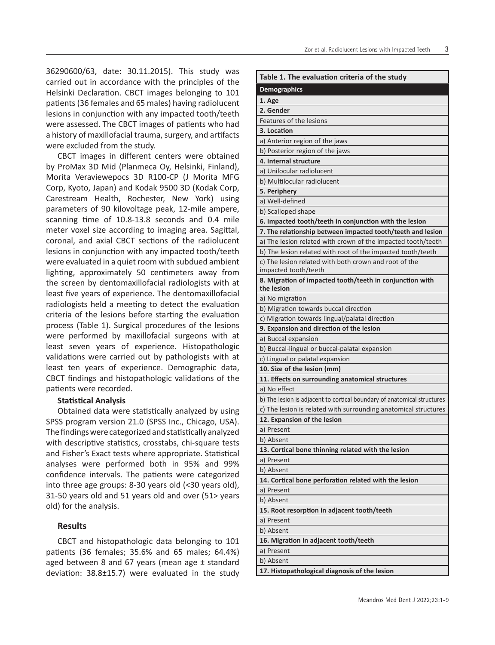36290600/63, date: 30.11.2015). This study was carried out in accordance with the principles of the Helsinki Declaration. CBCT images belonging to 101 patients (36 females and 65 males) having radiolucent lesions in conjunction with any impacted tooth/teeth were assessed. The CBCT images of patients who had a history of maxillofacial trauma, surgery, and artifacts were excluded from the study.

CBCT images in different centers were obtained by ProMax 3D Mid (Planmeca Oy, Helsinki, Finland), Morita Veraviewepocs 3D R100-CP (J Morita MFG Corp, Kyoto, Japan) and Kodak 9500 3D (Kodak Corp, Carestream Health, Rochester, New York) using parameters of 90 kilovoltage peak, 12-mile ampere, scanning time of 10.8-13.8 seconds and 0.4 mile meter voxel size according to imaging area. Sagittal, coronal, and axial CBCT sections of the radiolucent lesions in conjunction with any impacted tooth/teeth were evaluated in a quiet room with subdued ambient lighting, approximately 50 centimeters away from the screen by dentomaxillofacial radiologists with at least five years of experience. The dentomaxillofacial radiologists held a meeting to detect the evaluation criteria of the lesions before starting the evaluation process (Table 1). Surgical procedures of the lesions were performed by maxillofacial surgeons with at least seven years of experience. Histopathologic validations were carried out by pathologists with at least ten years of experience. Demographic data, CBCT findings and histopathologic validations of the patients were recorded.

#### **Statistical Analysis**

Obtained data were statistically analyzed by using SPSS program version 21.0 (SPSS Inc., Chicago, USA). The findings were categorized and statistically analyzed with descriptive statistics, crosstabs, chi-square tests and Fisher's Exact tests where appropriate. Statistical analyses were performed both in 95% and 99% confidence intervals. The patients were categorized into three age groups: 8-30 years old (<30 years old), 31-50 years old and 51 years old and over (51> years old) for the analysis.

## **Results**

CBCT and histopathologic data belonging to 101 patients (36 females; 35.6% and 65 males; 64.4%) aged between 8 and 67 years (mean age ± standard deviation: 38.8±15.7) were evaluated in the study

| <b>Demographics</b><br>1. Age<br>2. Gender<br>Features of the lesions<br>3. Location<br>a) Anterior region of the jaws<br>b) Posterior region of the jaws<br>4. Internal structure<br>a) Unilocular radiolucent<br>b) Multilocular radiolucent<br>5. Periphery<br>a) Well-defined<br>b) Scalloped shape<br>6. Impacted tooth/teeth in conjunction with the lesion<br>7. The relationship between impacted tooth/teeth and lesion<br>a) The lesion related with crown of the impacted tooth/teeth<br>b) The lesion related with root of the impacted tooth/teeth<br>c) The lesion related with both crown and root of the<br>impacted tooth/teeth<br>8. Migration of impacted tooth/teeth in conjunction with<br>the lesion<br>a) No migration<br>b) Migration towards buccal direction<br>c) Migration towards lingual/palatal direction<br>9. Expansion and direction of the lesion<br>a) Buccal expansion<br>b) Buccal-lingual or buccal-palatal expansion<br>c) Lingual or palatal expansion<br>10. Size of the lesion (mm)<br>11. Effects on surrounding anatomical structures<br>a) No effect<br>b) The lesion is adjacent to cortical boundary of anatomical structures<br>c) The lesion is related with surrounding anatomical structures<br>12. Expansion of the lesion<br>a) Present<br>b) Absent<br>13. Cortical bone thinning related with the lesion<br>a) Present<br>b) Absent<br>14. Cortical bone perforation related with the lesion<br>a) Present<br>b) Absent<br>15. Root resorption in adjacent tooth/teeth<br>a) Present<br>b) Absent<br>16. Migration in adjacent tooth/teeth<br>a) Present<br>b) Absent | Table 1. The evaluation criteria of the study |
|-------------------------------------------------------------------------------------------------------------------------------------------------------------------------------------------------------------------------------------------------------------------------------------------------------------------------------------------------------------------------------------------------------------------------------------------------------------------------------------------------------------------------------------------------------------------------------------------------------------------------------------------------------------------------------------------------------------------------------------------------------------------------------------------------------------------------------------------------------------------------------------------------------------------------------------------------------------------------------------------------------------------------------------------------------------------------------------------------------------------------------------------------------------------------------------------------------------------------------------------------------------------------------------------------------------------------------------------------------------------------------------------------------------------------------------------------------------------------------------------------------------------------------------------------------------------------------------------------------------------------------|-----------------------------------------------|
|                                                                                                                                                                                                                                                                                                                                                                                                                                                                                                                                                                                                                                                                                                                                                                                                                                                                                                                                                                                                                                                                                                                                                                                                                                                                                                                                                                                                                                                                                                                                                                                                                               |                                               |
|                                                                                                                                                                                                                                                                                                                                                                                                                                                                                                                                                                                                                                                                                                                                                                                                                                                                                                                                                                                                                                                                                                                                                                                                                                                                                                                                                                                                                                                                                                                                                                                                                               |                                               |
|                                                                                                                                                                                                                                                                                                                                                                                                                                                                                                                                                                                                                                                                                                                                                                                                                                                                                                                                                                                                                                                                                                                                                                                                                                                                                                                                                                                                                                                                                                                                                                                                                               |                                               |
|                                                                                                                                                                                                                                                                                                                                                                                                                                                                                                                                                                                                                                                                                                                                                                                                                                                                                                                                                                                                                                                                                                                                                                                                                                                                                                                                                                                                                                                                                                                                                                                                                               |                                               |
|                                                                                                                                                                                                                                                                                                                                                                                                                                                                                                                                                                                                                                                                                                                                                                                                                                                                                                                                                                                                                                                                                                                                                                                                                                                                                                                                                                                                                                                                                                                                                                                                                               |                                               |
|                                                                                                                                                                                                                                                                                                                                                                                                                                                                                                                                                                                                                                                                                                                                                                                                                                                                                                                                                                                                                                                                                                                                                                                                                                                                                                                                                                                                                                                                                                                                                                                                                               |                                               |
|                                                                                                                                                                                                                                                                                                                                                                                                                                                                                                                                                                                                                                                                                                                                                                                                                                                                                                                                                                                                                                                                                                                                                                                                                                                                                                                                                                                                                                                                                                                                                                                                                               |                                               |
|                                                                                                                                                                                                                                                                                                                                                                                                                                                                                                                                                                                                                                                                                                                                                                                                                                                                                                                                                                                                                                                                                                                                                                                                                                                                                                                                                                                                                                                                                                                                                                                                                               |                                               |
|                                                                                                                                                                                                                                                                                                                                                                                                                                                                                                                                                                                                                                                                                                                                                                                                                                                                                                                                                                                                                                                                                                                                                                                                                                                                                                                                                                                                                                                                                                                                                                                                                               |                                               |
|                                                                                                                                                                                                                                                                                                                                                                                                                                                                                                                                                                                                                                                                                                                                                                                                                                                                                                                                                                                                                                                                                                                                                                                                                                                                                                                                                                                                                                                                                                                                                                                                                               |                                               |
|                                                                                                                                                                                                                                                                                                                                                                                                                                                                                                                                                                                                                                                                                                                                                                                                                                                                                                                                                                                                                                                                                                                                                                                                                                                                                                                                                                                                                                                                                                                                                                                                                               |                                               |
|                                                                                                                                                                                                                                                                                                                                                                                                                                                                                                                                                                                                                                                                                                                                                                                                                                                                                                                                                                                                                                                                                                                                                                                                                                                                                                                                                                                                                                                                                                                                                                                                                               |                                               |
|                                                                                                                                                                                                                                                                                                                                                                                                                                                                                                                                                                                                                                                                                                                                                                                                                                                                                                                                                                                                                                                                                                                                                                                                                                                                                                                                                                                                                                                                                                                                                                                                                               |                                               |
|                                                                                                                                                                                                                                                                                                                                                                                                                                                                                                                                                                                                                                                                                                                                                                                                                                                                                                                                                                                                                                                                                                                                                                                                                                                                                                                                                                                                                                                                                                                                                                                                                               |                                               |
|                                                                                                                                                                                                                                                                                                                                                                                                                                                                                                                                                                                                                                                                                                                                                                                                                                                                                                                                                                                                                                                                                                                                                                                                                                                                                                                                                                                                                                                                                                                                                                                                                               |                                               |
|                                                                                                                                                                                                                                                                                                                                                                                                                                                                                                                                                                                                                                                                                                                                                                                                                                                                                                                                                                                                                                                                                                                                                                                                                                                                                                                                                                                                                                                                                                                                                                                                                               |                                               |
|                                                                                                                                                                                                                                                                                                                                                                                                                                                                                                                                                                                                                                                                                                                                                                                                                                                                                                                                                                                                                                                                                                                                                                                                                                                                                                                                                                                                                                                                                                                                                                                                                               |                                               |
|                                                                                                                                                                                                                                                                                                                                                                                                                                                                                                                                                                                                                                                                                                                                                                                                                                                                                                                                                                                                                                                                                                                                                                                                                                                                                                                                                                                                                                                                                                                                                                                                                               |                                               |
|                                                                                                                                                                                                                                                                                                                                                                                                                                                                                                                                                                                                                                                                                                                                                                                                                                                                                                                                                                                                                                                                                                                                                                                                                                                                                                                                                                                                                                                                                                                                                                                                                               |                                               |
|                                                                                                                                                                                                                                                                                                                                                                                                                                                                                                                                                                                                                                                                                                                                                                                                                                                                                                                                                                                                                                                                                                                                                                                                                                                                                                                                                                                                                                                                                                                                                                                                                               |                                               |
|                                                                                                                                                                                                                                                                                                                                                                                                                                                                                                                                                                                                                                                                                                                                                                                                                                                                                                                                                                                                                                                                                                                                                                                                                                                                                                                                                                                                                                                                                                                                                                                                                               |                                               |
|                                                                                                                                                                                                                                                                                                                                                                                                                                                                                                                                                                                                                                                                                                                                                                                                                                                                                                                                                                                                                                                                                                                                                                                                                                                                                                                                                                                                                                                                                                                                                                                                                               |                                               |
|                                                                                                                                                                                                                                                                                                                                                                                                                                                                                                                                                                                                                                                                                                                                                                                                                                                                                                                                                                                                                                                                                                                                                                                                                                                                                                                                                                                                                                                                                                                                                                                                                               |                                               |
|                                                                                                                                                                                                                                                                                                                                                                                                                                                                                                                                                                                                                                                                                                                                                                                                                                                                                                                                                                                                                                                                                                                                                                                                                                                                                                                                                                                                                                                                                                                                                                                                                               |                                               |
|                                                                                                                                                                                                                                                                                                                                                                                                                                                                                                                                                                                                                                                                                                                                                                                                                                                                                                                                                                                                                                                                                                                                                                                                                                                                                                                                                                                                                                                                                                                                                                                                                               |                                               |
|                                                                                                                                                                                                                                                                                                                                                                                                                                                                                                                                                                                                                                                                                                                                                                                                                                                                                                                                                                                                                                                                                                                                                                                                                                                                                                                                                                                                                                                                                                                                                                                                                               |                                               |
|                                                                                                                                                                                                                                                                                                                                                                                                                                                                                                                                                                                                                                                                                                                                                                                                                                                                                                                                                                                                                                                                                                                                                                                                                                                                                                                                                                                                                                                                                                                                                                                                                               |                                               |
|                                                                                                                                                                                                                                                                                                                                                                                                                                                                                                                                                                                                                                                                                                                                                                                                                                                                                                                                                                                                                                                                                                                                                                                                                                                                                                                                                                                                                                                                                                                                                                                                                               |                                               |
|                                                                                                                                                                                                                                                                                                                                                                                                                                                                                                                                                                                                                                                                                                                                                                                                                                                                                                                                                                                                                                                                                                                                                                                                                                                                                                                                                                                                                                                                                                                                                                                                                               |                                               |
|                                                                                                                                                                                                                                                                                                                                                                                                                                                                                                                                                                                                                                                                                                                                                                                                                                                                                                                                                                                                                                                                                                                                                                                                                                                                                                                                                                                                                                                                                                                                                                                                                               |                                               |
|                                                                                                                                                                                                                                                                                                                                                                                                                                                                                                                                                                                                                                                                                                                                                                                                                                                                                                                                                                                                                                                                                                                                                                                                                                                                                                                                                                                                                                                                                                                                                                                                                               |                                               |
|                                                                                                                                                                                                                                                                                                                                                                                                                                                                                                                                                                                                                                                                                                                                                                                                                                                                                                                                                                                                                                                                                                                                                                                                                                                                                                                                                                                                                                                                                                                                                                                                                               |                                               |
|                                                                                                                                                                                                                                                                                                                                                                                                                                                                                                                                                                                                                                                                                                                                                                                                                                                                                                                                                                                                                                                                                                                                                                                                                                                                                                                                                                                                                                                                                                                                                                                                                               |                                               |
|                                                                                                                                                                                                                                                                                                                                                                                                                                                                                                                                                                                                                                                                                                                                                                                                                                                                                                                                                                                                                                                                                                                                                                                                                                                                                                                                                                                                                                                                                                                                                                                                                               |                                               |
|                                                                                                                                                                                                                                                                                                                                                                                                                                                                                                                                                                                                                                                                                                                                                                                                                                                                                                                                                                                                                                                                                                                                                                                                                                                                                                                                                                                                                                                                                                                                                                                                                               |                                               |
|                                                                                                                                                                                                                                                                                                                                                                                                                                                                                                                                                                                                                                                                                                                                                                                                                                                                                                                                                                                                                                                                                                                                                                                                                                                                                                                                                                                                                                                                                                                                                                                                                               |                                               |
|                                                                                                                                                                                                                                                                                                                                                                                                                                                                                                                                                                                                                                                                                                                                                                                                                                                                                                                                                                                                                                                                                                                                                                                                                                                                                                                                                                                                                                                                                                                                                                                                                               |                                               |
|                                                                                                                                                                                                                                                                                                                                                                                                                                                                                                                                                                                                                                                                                                                                                                                                                                                                                                                                                                                                                                                                                                                                                                                                                                                                                                                                                                                                                                                                                                                                                                                                                               |                                               |
|                                                                                                                                                                                                                                                                                                                                                                                                                                                                                                                                                                                                                                                                                                                                                                                                                                                                                                                                                                                                                                                                                                                                                                                                                                                                                                                                                                                                                                                                                                                                                                                                                               |                                               |
|                                                                                                                                                                                                                                                                                                                                                                                                                                                                                                                                                                                                                                                                                                                                                                                                                                                                                                                                                                                                                                                                                                                                                                                                                                                                                                                                                                                                                                                                                                                                                                                                                               |                                               |
|                                                                                                                                                                                                                                                                                                                                                                                                                                                                                                                                                                                                                                                                                                                                                                                                                                                                                                                                                                                                                                                                                                                                                                                                                                                                                                                                                                                                                                                                                                                                                                                                                               |                                               |
|                                                                                                                                                                                                                                                                                                                                                                                                                                                                                                                                                                                                                                                                                                                                                                                                                                                                                                                                                                                                                                                                                                                                                                                                                                                                                                                                                                                                                                                                                                                                                                                                                               |                                               |
|                                                                                                                                                                                                                                                                                                                                                                                                                                                                                                                                                                                                                                                                                                                                                                                                                                                                                                                                                                                                                                                                                                                                                                                                                                                                                                                                                                                                                                                                                                                                                                                                                               |                                               |
|                                                                                                                                                                                                                                                                                                                                                                                                                                                                                                                                                                                                                                                                                                                                                                                                                                                                                                                                                                                                                                                                                                                                                                                                                                                                                                                                                                                                                                                                                                                                                                                                                               |                                               |
|                                                                                                                                                                                                                                                                                                                                                                                                                                                                                                                                                                                                                                                                                                                                                                                                                                                                                                                                                                                                                                                                                                                                                                                                                                                                                                                                                                                                                                                                                                                                                                                                                               |                                               |
|                                                                                                                                                                                                                                                                                                                                                                                                                                                                                                                                                                                                                                                                                                                                                                                                                                                                                                                                                                                                                                                                                                                                                                                                                                                                                                                                                                                                                                                                                                                                                                                                                               |                                               |
|                                                                                                                                                                                                                                                                                                                                                                                                                                                                                                                                                                                                                                                                                                                                                                                                                                                                                                                                                                                                                                                                                                                                                                                                                                                                                                                                                                                                                                                                                                                                                                                                                               |                                               |
|                                                                                                                                                                                                                                                                                                                                                                                                                                                                                                                                                                                                                                                                                                                                                                                                                                                                                                                                                                                                                                                                                                                                                                                                                                                                                                                                                                                                                                                                                                                                                                                                                               |                                               |
|                                                                                                                                                                                                                                                                                                                                                                                                                                                                                                                                                                                                                                                                                                                                                                                                                                                                                                                                                                                                                                                                                                                                                                                                                                                                                                                                                                                                                                                                                                                                                                                                                               | 17. Histopathological diagnosis of the lesion |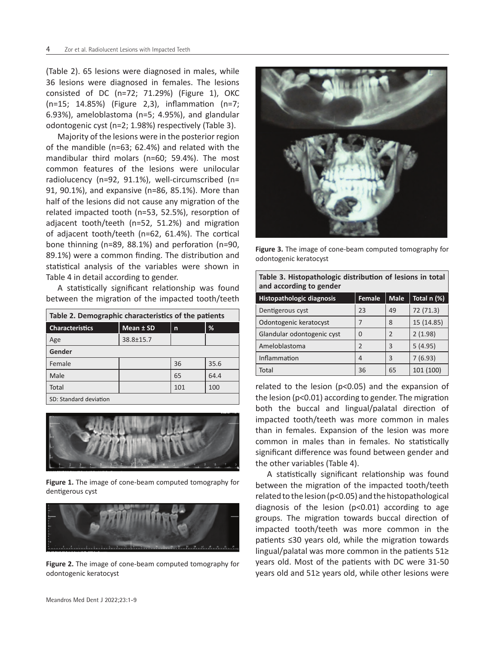(Table 2). 65 lesions were diagnosed in males, while 36 lesions were diagnosed in females. The lesions consisted of DC (n=72; 71.29%) (Figure 1), OKC (n=15; 14.85%) (Figure 2,3), inflammation (n=7; 6.93%), ameloblastoma (n=5; 4.95%), and glandular odontogenic cyst (n=2; 1.98%) respectively (Table 3).

Majority of the lesions were in the posterior region of the mandible (n=63; 62.4%) and related with the mandibular third molars (n=60; 59.4%). The most common features of the lesions were unilocular radiolucency (n=92, 91.1%), well-circumscribed (n= 91, 90.1%), and expansive (n=86, 85.1%). More than half of the lesions did not cause any migration of the related impacted tooth (n=53, 52.5%), resorption of adjacent tooth/teeth (n=52, 51.2%) and migration of adjacent tooth/teeth (n=62, 61.4%). The cortical bone thinning (n=89, 88.1%) and perforation (n=90, 89.1%) were a common finding. The distribution and statistical analysis of the variables were shown in Table 4 in detail according to gender.

A statistically significant relationship was found between the migration of the impacted tooth/teeth

| Table 2. Demographic characteristics of the patients |           |     |      |  |
|------------------------------------------------------|-----------|-----|------|--|
| <b>Characteristics</b>                               | Mean ± SD | n   | %    |  |
| Age                                                  | 38.8±15.7 |     |      |  |
| Gender                                               |           |     |      |  |
| Female                                               |           | 36  | 35.6 |  |
| Male                                                 |           | 65  | 64.4 |  |
| Total                                                |           | 101 | 100  |  |
|                                                      |           |     |      |  |

SD: Standard deviation



**Figure 1.** The image of cone-beam computed tomography for dentigerous cyst



**Figure 2.** The image of cone-beam computed tomography for odontogenic keratocyst



**Figure 3.** The image of cone-beam computed tomography for odontogenic keratocyst

**Table 3. Histopathologic distribution of lesions in total** 

| and according to gender          |                |             |             |
|----------------------------------|----------------|-------------|-------------|
| <b>Histopathologic diagnosis</b> | Female         | <b>Male</b> | Total n (%) |
| Dentigerous cyst                 | 23             | 49          | 72 (71.3)   |
| Odontogenic keratocyst           |                | 8           | 15 (14.85)  |
| Glandular odontogenic cyst       | 0              | 2           | 2(1.98)     |
| Ameloblastoma                    | $\overline{2}$ | 3           | 5(4.95)     |
| Inflammation                     | 4              | 3           | 7(6.93)     |
| Total                            | 36             | 65          | 101 (100)   |

related to the lesion (p<0.05) and the expansion of the lesion (p<0.01) according to gender. The migration both the buccal and lingual/palatal direction of impacted tooth/teeth was more common in males than in females. Expansion of the lesion was more common in males than in females. No statistically significant difference was found between gender and the other variables (Table 4).

A statistically significant relationship was found between the migration of the impacted tooth/teeth related to the lesion (p<0.05) and the histopathological diagnosis of the lesion (p<0.01) according to age groups. The migration towards buccal direction of impacted tooth/teeth was more common in the patients ≤30 years old, while the migration towards lingual/palatal was more common in the patients 51≥ years old. Most of the patients with DC were 31-50 years old and 51≥ years old, while other lesions were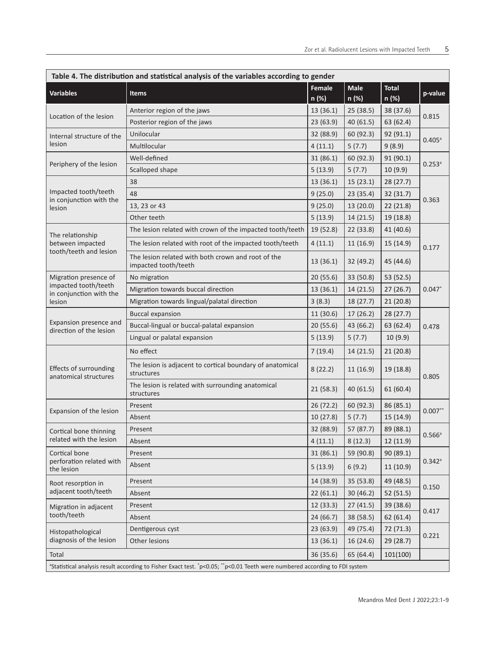| Table 4. The distribution and statistical analysis of the variables according to gender |                                                                                                                                        |                        |                      |                       |                      |
|-----------------------------------------------------------------------------------------|----------------------------------------------------------------------------------------------------------------------------------------|------------------------|----------------------|-----------------------|----------------------|
| <b>Variables</b>                                                                        | <b>Items</b>                                                                                                                           | <b>Female</b><br>n (%) | <b>Male</b><br>n (%) | <b>Total</b><br>n (%) | p-value              |
| Location of the lesion                                                                  | Anterior region of the jaws                                                                                                            | 13 (36.1)              | 25 (38.5)            | 38 (37.6)             | 0.815                |
|                                                                                         | Posterior region of the jaws                                                                                                           | 23 (63.9)              | 40 (61.5)            | 63 (62.4)             |                      |
| Internal structure of the<br>lesion                                                     | Unilocular                                                                                                                             | 32 (88.9)              | 60 (92.3)            | 92 (91.1)             | $0.405^{\circ}$      |
|                                                                                         | Multilocular                                                                                                                           | 4(11.1)                | 5(7.7)               | 9(8.9)                |                      |
| Periphery of the lesion                                                                 | Well-defined                                                                                                                           | 31 (86.1)              | 60 (92.3)            | 91 (90.1)             | $0.253$ <sup>a</sup> |
|                                                                                         | Scalloped shape                                                                                                                        | 5(13.9)                | 5(7.7)               | 10 (9.9)              |                      |
|                                                                                         | 38                                                                                                                                     | 13 (36.1)              | 15(23.1)             | 28 (27.7)             |                      |
| Impacted tooth/teeth<br>in conjunction with the                                         | 48                                                                                                                                     | 9(25.0)                | 23(35.4)             | 32 (31.7)             | 0.363                |
| lesion                                                                                  | 13, 23 or 43                                                                                                                           | 9(25.0)                | 13(20.0)             | 22 (21.8)             |                      |
|                                                                                         | Other teeth                                                                                                                            | 5(13.9)                | 14 (21.5)            | 19 (18.8)             |                      |
| The relationship                                                                        | The lesion related with crown of the impacted tooth/teeth                                                                              | 19 (52.8)              | 22 (33.8)            | 41 (40.6)             |                      |
| between impacted                                                                        | The lesion related with root of the impacted tooth/teeth                                                                               | 4(11.1)                | 11(16.9)             | 15 (14.9)             | 0.177                |
| tooth/teeth and lesion                                                                  | The lesion related with both crown and root of the<br>impacted tooth/teeth                                                             | 13 (36.1)              | 32 (49.2)            | 45 (44.6)             |                      |
| Migration presence of                                                                   | No migration                                                                                                                           | 20 (55.6)              | 33 (50.8)            | 53 (52.5)             |                      |
| impacted tooth/teeth<br>in conjunction with the                                         | Migration towards buccal direction                                                                                                     | 13 (36.1)              | 14 (21.5)            | 27(26.7)              | $0.047*$             |
| lesion                                                                                  | Migration towards lingual/palatal direction                                                                                            | 3(8.3)                 | 18 (27.7)            | 21 (20.8)             |                      |
|                                                                                         | <b>Buccal expansion</b>                                                                                                                | 11 (30.6)              | 17(26.2)             | 28(27.7)              | 0.478                |
| Expansion presence and<br>direction of the lesion                                       | Buccal-lingual or buccal-palatal expansion                                                                                             | 20 (55.6)              | 43 (66.2)            | 63 (62.4)             |                      |
|                                                                                         | Lingual or palatal expansion                                                                                                           | 5(13.9)                | 5(7.7)               | 10 (9.9)              |                      |
|                                                                                         | No effect                                                                                                                              | 7(19.4)                | 14 (21.5)            | 21 (20.8)             |                      |
| Effects of surrounding<br>anatomical structures                                         | The lesion is adjacent to cortical boundary of anatomical<br>structures                                                                | 8(22.2)                | 11(16.9)             | 19 (18.8)             | 0.805                |
|                                                                                         | The lesion is related with surrounding anatomical<br>structures                                                                        | 21(58.3)               | 40 (61.5)            | 61(60.4)              |                      |
| Expansion of the lesion                                                                 | Present                                                                                                                                | 26 (72.2)              | 60 (92.3)            | 86 (85.1)             | $0.007**$            |
|                                                                                         | Absent                                                                                                                                 | 10 (27.8)              | 5(7.7)               | 15 (14.9)             |                      |
| Cortical bone thinning                                                                  | Present                                                                                                                                | 32 (88.9)              | 57 (87.7)            | 89 (88.1)             | $0.566^{\circ}$      |
| related with the lesion                                                                 | Absent                                                                                                                                 | 4(11.1)                | 8(12.3)              | 12 (11.9)             |                      |
| Cortical bone                                                                           | Present                                                                                                                                | 31 (86.1)              | 59 (90.8)            | 90 (89.1)             | $0.342$ <sup>a</sup> |
| perforation related with<br>the lesion                                                  | Absent                                                                                                                                 | 5(13.9)                | 6(9.2)               | 11 (10.9)             |                      |
| Root resorption in                                                                      | Present                                                                                                                                | 14 (38.9)              | 35 (53.8)            | 49 (48.5)             | 0.150                |
| adjacent tooth/teeth                                                                    | Absent                                                                                                                                 | 22(61.1)               | 30 (46.2)            | 52(51.5)              |                      |
| Migration in adjacent<br>tooth/teeth                                                    | Present                                                                                                                                | 12 (33.3)              | 27(41.5)             | 39 (38.6)             | 0.417                |
|                                                                                         | Absent                                                                                                                                 | 24 (66.7)              | 38 (58.5)            | 62(61.4)              |                      |
| Histopathological                                                                       | Dentigerous cyst                                                                                                                       | 23(63.9)               | 49 (75.4)            | 72 (71.3)             | 0.221                |
| diagnosis of the lesion                                                                 | Other lesions                                                                                                                          | 13(36.1)               | 16 (24.6)            | 29 (28.7)             |                      |
| Total<br>101(100)<br>36 (35.6)<br>65 (64.4)                                             |                                                                                                                                        |                        |                      |                       |                      |
|                                                                                         | <sup>a</sup> Statistical analysis result according to Fisher Exact test. *p<0.05; **p<0.01 Teeth were numbered according to FDI system |                        |                      |                       |                      |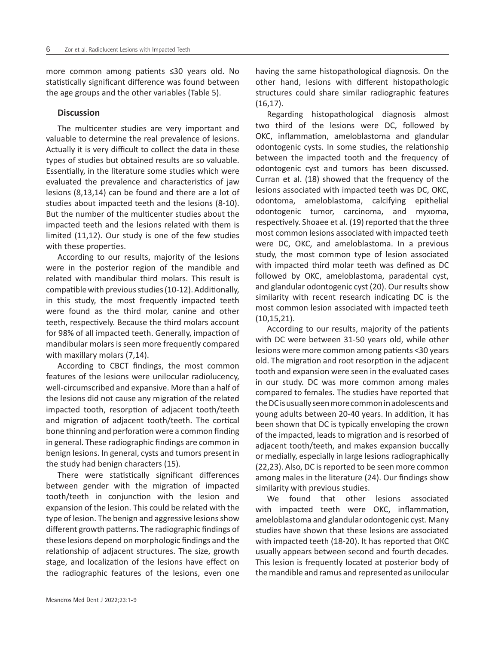more common among patients ≤30 years old. No statistically significant difference was found between the age groups and the other variables (Table 5).

### **Discussion**

The multicenter studies are very important and valuable to determine the real prevalence of lesions. Actually it is very difficult to collect the data in these types of studies but obtained results are so valuable. Essentially, in the literature some studies which were evaluated the prevalence and characteristics of jaw lesions (8,13,14) can be found and there are a lot of studies about impacted teeth and the lesions (8-10). But the number of the multicenter studies about the impacted teeth and the lesions related with them is limited (11,12). Our study is one of the few studies with these properties.

According to our results, majority of the lesions were in the posterior region of the mandible and related with mandibular third molars. This result is compatible with previous studies (10-12). Additionally, in this study, the most frequently impacted teeth were found as the third molar, canine and other teeth, respectively. Because the third molars account for 98% of all impacted teeth. Generally, impaction of mandibular molars is seen more frequently compared with maxillary molars (7,14).

According to CBCT findings, the most common features of the lesions were unilocular radiolucency, well-circumscribed and expansive. More than a half of the lesions did not cause any migration of the related impacted tooth, resorption of adjacent tooth/teeth and migration of adjacent tooth/teeth. The cortical bone thinning and perforation were a common finding in general. These radiographic findings are common in benign lesions. In general, cysts and tumors present in the study had benign characters (15).

There were statistically significant differences between gender with the migration of impacted tooth/teeth in conjunction with the lesion and expansion of the lesion. This could be related with the type of lesion. The benign and aggressive lesions show different growth patterns. The radiographic findings of these lesions depend on morphologic findings and the relationship of adjacent structures. The size, growth stage, and localization of the lesions have effect on the radiographic features of the lesions, even one having the same histopathological diagnosis. On the other hand, lesions with different histopathologic structures could share similar radiographic features (16,17).

Regarding histopathological diagnosis almost two third of the lesions were DC, followed by OKC, inflammation, ameloblastoma and glandular odontogenic cysts. In some studies, the relationship between the impacted tooth and the frequency of odontogenic cyst and tumors has been discussed. Curran et al. (18) showed that the frequency of the lesions associated with impacted teeth was DC, OKC, odontoma, ameloblastoma, calcifying epithelial odontogenic tumor, carcinoma, and myxoma, respectively. Shoaee et al. (19) reported that the three most common lesions associated with impacted teeth were DC, OKC, and ameloblastoma. In a previous study, the most common type of lesion associated with impacted third molar teeth was defined as DC followed by OKC, ameloblastoma, paradental cyst, and glandular odontogenic cyst (20). Our results show similarity with recent research indicating DC is the most common lesion associated with impacted teeth (10,15,21).

According to our results, majority of the patients with DC were between 31-50 years old, while other lesions were more common among patients <30 years old. The migration and root resorption in the adjacent tooth and expansion were seen in the evaluated cases in our study. DC was more common among males compared to females. The studies have reported that the DC is usually seen more common in adolescents and young adults between 20-40 years. In addition, it has been shown that DC is typically enveloping the crown of the impacted, leads to migration and is resorbed of adjacent tooth/teeth, and makes expansion buccally or medially, especially in large lesions radiographically (22,23). Also, DC is reported to be seen more common among males in the literature (24). Our findings show similarity with previous studies.

We found that other lesions associated with impacted teeth were OKC, inflammation, ameloblastoma and glandular odontogenic cyst. Many studies have shown that these lesions are associated with impacted teeth (18-20). It has reported that OKC usually appears between second and fourth decades. This lesion is frequently located at posterior body of the mandible and ramus and represented as unilocular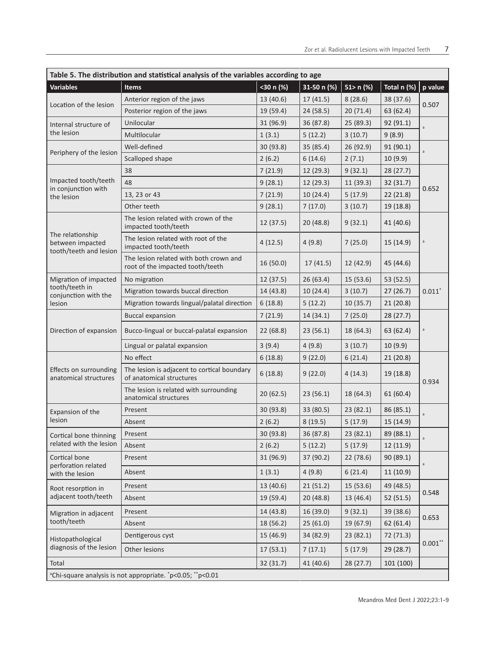| Table 5. The distribution and statistical analysis of the variables according to age |                                                                            |           |                |                   |             |           |
|--------------------------------------------------------------------------------------|----------------------------------------------------------------------------|-----------|----------------|-------------------|-------------|-----------|
| <b>Variables</b>                                                                     | <b>Items</b>                                                               | <30 n (%) | 31-50 n $(\%)$ | $\sqrt{51}$ n (%) | Total n (%) | p value   |
| Location of the lesion                                                               | Anterior region of the jaws                                                | 13 (40.6) | 17(41.5)       | 8(28.6)           | 38 (37.6)   | 0.507     |
|                                                                                      | Posterior region of the jaws                                               | 19 (59.4) | 24 (58.5)      | 20(71.4)          | 63 (62.4)   |           |
| Internal structure of<br>the lesion                                                  | Unilocular                                                                 | 31 (96.9) | 36 (87.8)      | 25 (89.3)         | 92 (91.1)   | a         |
|                                                                                      | Multilocular                                                               | 1(3.1)    | 5(12.2)        | 3(10.7)           | 9(8.9)      |           |
|                                                                                      | Well-defined                                                               | 30 (93.8) | 35 (85.4)      | 26 (92.9)         | 91 (90.1)   | a         |
| Periphery of the lesion                                                              | Scalloped shape                                                            | 2(6.2)    | 6(14.6)        | 2(7.1)            | 10 (9.9)    |           |
|                                                                                      | 38                                                                         | 7(21.9)   | 12 (29.3)      | 9(32.1)           | 28 (27.7)   |           |
| Impacted tooth/teeth<br>in conjunction with                                          | 48                                                                         | 9(28.1)   | 12 (29.3)      | 11 (39.3)         | 32 (31.7)   |           |
| the lesion                                                                           | 13, 23 or 43                                                               | 7(21.9)   | 10 (24.4)      | 5(17.9)           | 22 (21.8)   | 0.652     |
|                                                                                      | Other teeth                                                                | 9(28.1)   | 7(17.0)        | 3(10.7)           | 19 (18.8)   |           |
|                                                                                      | The lesion related with crown of the<br>impacted tooth/teeth               | 12 (37.5) | 20(48.8)       | 9(32.1)           | 41 (40.6)   |           |
| The relationship<br>between impacted<br>tooth/teeth and lesion                       | The lesion related with root of the<br>impacted tooth/teeth                | 4(12.5)   | 4(9.8)         | 7(25.0)           | 15 (14.9)   | a         |
|                                                                                      | The lesion related with both crown and<br>root of the impacted tooth/teeth | 16 (50.0) | 17(41.5)       | 12 (42.9)         | 45 (44.6)   |           |
| Migration of impacted                                                                | No migration                                                               | 12 (37.5) | 26(63.4)       | 15 (53.6)         | 53 (52.5)   | $0.011*$  |
| tooth/teeth in<br>conjunction with the                                               | Migration towards buccal direction                                         | 14 (43.8) | 10 (24.4)      | 3(10.7)           | 27 (26.7)   |           |
| lesion                                                                               | Migration towards lingual/palatal direction                                | 6(18.8)   | 5(12.2)        | 10 (35.7)         | 21(20.8)    |           |
|                                                                                      | <b>Buccal expansion</b>                                                    | 7(21.9)   | 14 (34.1)      | 7(25.0)           | 28 (27.7)   | a         |
| Direction of expansion                                                               | Bucco-lingual or buccal-palatal expansion                                  | 22 (68.8) | 23(56.1)       | 18 (64.3)         | 63 (62.4)   |           |
|                                                                                      | Lingual or palatal expansion                                               | 3(9.4)    | 4(9.8)         | 3(10.7)           | 10 (9.9)    |           |
|                                                                                      | No effect                                                                  | 6(18.8)   | 9(22.0)        | 6(21.4)           | 21 (20.8)   |           |
| Effects on surrounding<br>anatomical structures                                      | The lesion is adjacent to cortical boundary<br>of anatomical structures    | 6(18.8)   | 9(22.0)        | 4(14.3)           | 19 (18.8)   | 0.934     |
|                                                                                      | The lesion is related with surrounding<br>anatomical structures            | 20(62.5)  | 23(56.1)       | 18 (64.3)         | 61(60.4)    |           |
| Expansion of the                                                                     | Present                                                                    | 30 (93.8) | 33 (80.5)      | 23(82.1)          | 86 (85.1)   | a         |
| lesion                                                                               | Absent                                                                     | 2(6.2)    | 8(19.5)        | 5(17.9)           | 15 (14.9)   |           |
| Cortical bone thinning                                                               | Present                                                                    | 30 (93.8) | 36 (87.8)      | 23(82.1)          | 89 (88.1)   | a         |
| related with the lesion                                                              | Absent                                                                     | 2(6.2)    | 5(12.2)        | 5(17.9)           | 12(11.9)    |           |
| Cortical bone                                                                        | Present                                                                    | 31 (96.9) | 37 (90.2)      | 22 (78.6)         | 90 (89.1)   | a         |
| perforation related<br>with the lesion                                               | Absent                                                                     | 1(3.1)    | 4(9.8)         | 6(21.4)           | 11(10.9)    |           |
| Root resorption in                                                                   | Present                                                                    | 13 (40.6) | 21(51.2)       | 15 (53.6)         | 49 (48.5)   | 0.548     |
| adjacent tooth/teeth                                                                 | Absent                                                                     | 19 (59.4) | 20(48.8)       | 13 (46.4)         | 52 (51.5)   |           |
| Migration in adjacent                                                                | Present                                                                    | 14 (43.8) | 16 (39.0)      | 9(32.1)           | 39 (38.6)   | 0.653     |
| tooth/teeth                                                                          | Absent                                                                     | 18 (56.2) | 25(61.0)       | 19 (67.9)         | 62(61.4)    |           |
| Histopathological                                                                    | Dentigerous cyst                                                           | 15 (46.9) | 34 (82.9)      | 23(82.1)          | 72 (71.3)   | $0.001**$ |
| diagnosis of the lesion                                                              | Other lesions                                                              | 17(53.1)  | 7(17.1)        | 5(17.9)           | 29 (28.7)   |           |
| Total<br>32 (31.7)<br>41 (40.6)<br>28 (27.7)                                         |                                                                            |           | 101 (100)      |                   |             |           |
| <sup>a</sup> Chi-square analysis is not appropriate. *p<0.05; **p<0.01               |                                                                            |           |                |                   |             |           |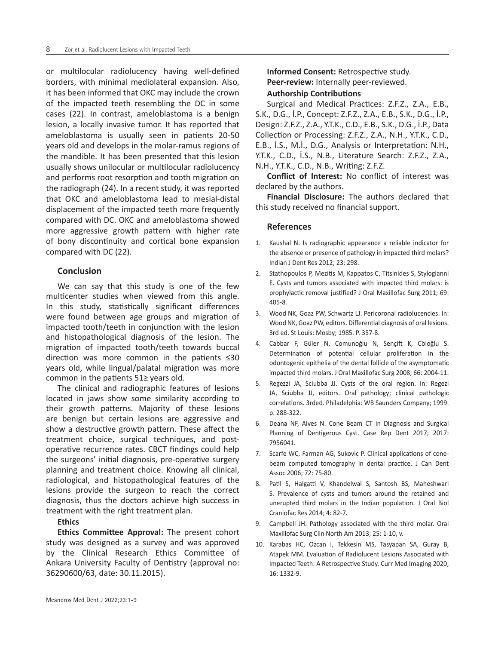or multilocular radiolucency having well-defined borders, with minimal mediolateral expansion. Also, it has been informed that OKC may include the crown of the impacted teeth resembling the DC in some cases (22). In contrast, ameloblastoma is a benign lesion, a locally invasive tumor. It has reported that ameloblastoma is usually seen in patients 20-50 years old and develops in the molar-ramus regions of the mandible. It has been presented that this lesion usually shows unilocular or multilocular radiolucency and performs root resorption and tooth migration on the radiograph (24). In a recent study, it was reported that OKC and ameloblastoma lead to mesial-distal displacement of the impacted teeth more frequently compared with DC. OKC and ameloblastoma showed more aggressive growth pattern with higher rate of bony discontinuity and cortical bone expansion compared with DC (22).

### **Conclusion**

We can say that this study is one of the few multicenter studies when viewed from this angle. In this study, statistically significant differences were found between age groups and migration of impacted tooth/teeth in conjunction with the lesion and histopathological diagnosis of the lesion. The migration of impacted tooth/teeth towards buccal direction was more common in the patients ≤30 years old, while lingual/palatal migration was more common in the patients 51≥ years old.

The clinical and radiographic features of lesions located in jaws show some similarity according to their growth patterns. Majority of these lesions are benign but certain lesions are aggressive and show a destructive growth pattern. These affect the treatment choice, surgical techniques, and postoperative recurrence rates. CBCT findings could help the surgeons' initial diagnosis, pre-operative surgery planning and treatment choice. Knowing all clinical, radiological, and histopathological features of the lesions provide the surgeon to reach the correct diagnosis, thus the doctors achieve high success in treatment with the right treatment plan.

#### **Ethics**

**Ethics Committee Approval:** The present cohort study was designed as a survey and was approved by the Clinical Research Ethics Committee of Ankara University Faculty of Dentistry (approval no: 36290600/63, date: 30.11.2015).

**Informed Consent:** Retrospective study. **Peer-review:** Internally peer-reviewed.

#### **Authorship Contributions**

Surgical and Medical Practices: Z.F.Z., Z.A., E.B., S.K., D.G., İ.P., Concept: Z.F.Z., Z.A., E.B., S.K., D.G., İ.P., Design: Z.F.Z., Z.A., Y.T.K., C.D., E.B., S.K., D.G., İ.P., Data Collection or Processing: Z.F.Z., Z.A., N.H., Y.T.K., C.D., E.B., İ.S., M.İ., D.G., Analysis or Interpretation: N.H., Y.T.K., C.D., İ.S., N.B., Literature Search: Z.F.Z., Z.A., N.H., Y.T.K., C.D., N.B., Writing: Z.F.Z.

**Conflict of Interest:** No conflict of interest was declared by the authors.

**Financial Disclosure:** The authors declared that this study received no financial support.

#### **References**

- Kaushal N. Is radiographic appearance a reliable indicator for the absence or presence of pathology in impacted third molars? Indian J Dent Res 2012; 23: 298.
- 2. Stathopoulos P, Mezitis M, Kappatos C, Titsinides S, Stylogianni E. Cysts and tumors associated with impacted third molars: is prophylactic removal justified? J Oral Maxillofac Surg 2011; 69: 405-8.
- 3. Wood NK, Goaz PW, Schwartz LJ. Pericoronal radiolucencies. In: Wood NK, Goaz PW, editors. Differential diagnosis of oral lesions. 3rd ed. St Louis: Mosby; 1985. P. 357-8.
- 4. Cabbar F, Güler N, Comunoğlu N, Sençift K, Cöloğlu S. Determination of potential cellular proliferation in the odontogenic epithelia of the dental follicle of the asymptomatic impacted third molars. J Oral Maxillofac Surg 2008; 66: 2004-11.
- 5. Regezzi JA, Sciubba JJ. Cysts of the oral region. In: Regezi JA, Sciubba JJ, editors. Oral pathology; clinical pathologic correlations. 3rded. Philadelphia: WB Saunders Company; 1999. p. 288-322.
- 6. Deana NF, Alves N. Cone Beam CT in Diagnosis and Surgical Planning of Dentigerous Cyst. Case Rep Dent 2017; 2017: 7956041.
- 7. Scarfe WC, Farman AG, Sukovic P. Clinical applications of conebeam computed tomography in dental practice. J Can Dent Assoc 2006; 72: 75-80.
- 8. Patil S, Halgatti V, Khandelwal S, Santosh BS, Maheshwari S. Prevalence of cysts and tumors around the retained and unerupted third molars in the Indian population. J Oral Biol Craniofac Res 2014; 4: 82-7.
- 9. Campbell JH. Pathology associated with the third molar. Oral Maxillofac Surg Clin North Am 2013; 25: 1-10, v.
- 10. Karabas HC, Ozcan I, Tekkesin MS, Tasyapan SA, Guray B, Atapek MM. Evaluation of Radiolucent Lesions Associated with Impacted Teeth: A Retrospective Study. Curr Med Imaging 2020; 16: 1332-9.